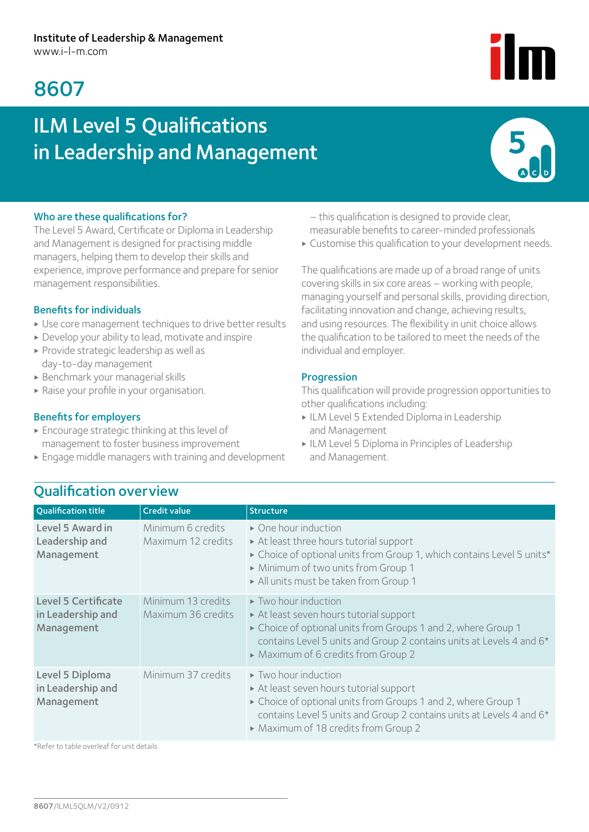# 8607

# ILM Level 5 Qualifications in Leadership and Management



#### Who are these qualifications for?

The Level 5 Award, Certificate or Diploma in Leadership and Management is designed for practising middle managers, helping them to develop their skills and experience, improve performance and prepare for senior management responsibilities.

#### Benefits for individuals

- ▶ Use core management techniques to drive better results
- ▶ Develop your ability to lead, motivate and inspire
- ▶ Provide strategic leadership as well as day-to-day management
- ▶ Benchmark your managerial skills
- ▶ Raise your profile in your organisation.

#### Benefits for employers

- ▶ Encourage strategic thinking at this level of management to foster business improvement
- ▶ Engage middle managers with training and development
- this qualification is designed to provide clear, measurable benefits to career-minded professionals
- ▶ Customise this qualification to your development needs.

The qualifications are made up of a broad range of units covering skills in six core areas – working with people, managing yourself and personal skills, providing direction, facilitating innovation and change, achieving results, and using resources. The flexibility in unit choice allows the qualification to be tailored to meet the needs of the individual and employer.

#### Progression

This qualification will provide progression opportunities to other qualifications including:

- ▶ ILM Level 5 Extended Diploma in Leadership and Management
- ▶ ILM Level 5 Diploma in Principles of Leadership and Management.

| <b>Qualification title</b>                                    | <b>Credit value</b>                      | <b>Structure</b>                                                                                                                                                                                                                                              |
|---------------------------------------------------------------|------------------------------------------|---------------------------------------------------------------------------------------------------------------------------------------------------------------------------------------------------------------------------------------------------------------|
| Level 5 Award in<br>Leadership and<br>Management              | Minimum 6 credits<br>Maximum 12 credits  | • One hour induction<br>At least three hours tutorial support<br>Choice of optional units from Group 1, which contains Level 5 units*<br>Minimum of two units from Group 1<br>All units must be taken from Group 1                                            |
| <b>Level 5 Certificate</b><br>in Leadership and<br>Management | Minimum 13 credits<br>Maximum 36 credits | $\triangleright$ Two hour induction<br>At least seven hours tutorial support<br>► Choice of optional units from Groups 1 and 2, where Group 1<br>contains Level 5 units and Group 2 contains units at Levels 4 and 6*<br>• Maximum of 6 credits from Group 2  |
| Level 5 Diploma<br>in Leadership and<br>Management            | Minimum 37 credits                       | $\triangleright$ Two hour induction<br>At least seven hours tutorial support<br>► Choice of optional units from Groups 1 and 2, where Group 1<br>contains Level 5 units and Group 2 contains units at Levels 4 and 6*<br>• Maximum of 18 credits from Group 2 |

Qualification overview

\*Refer to table overleaf for unit details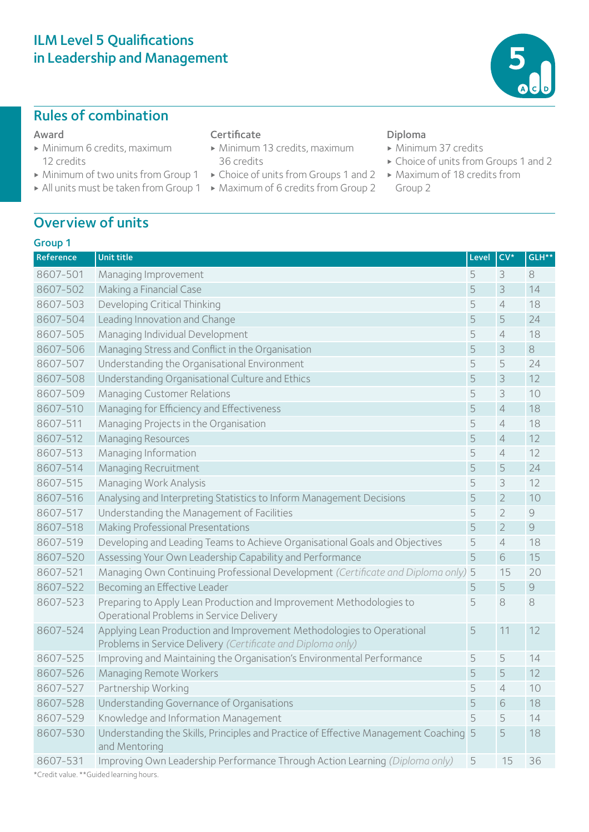# ILM Level 5 Qualifications in Leadership and Management

### Rules of combination

#### Award

- ▶ Minimum 6 credits, maximum 12 credits
- 
- ▶ All units must be taken from Group 1 ▶ Maximum of 6 credits from Group 2

# Overview of units

#### Group 1

### **Certificate**

- ▶ Minimum 13 credits, maximum 36 credits
- ▶ Minimum of two units from Group 1 ▶ Choice of units from Groups 1 and 2

Reference Unit title Level CV\* GLH\*\*

#### Diploma

- ▶ Minimum 37 credits
- ▶ Choice of units from Groups 1 and 2
- ▶ Maximum of 18 credits from Group 2

| 8607-501 | Managing Improvement                                                                                                   | 5 | 3              | 8             |
|----------|------------------------------------------------------------------------------------------------------------------------|---|----------------|---------------|
| 8607-502 | Making a Financial Case                                                                                                | 5 | 3              | 14            |
| 8607-503 | Developing Critical Thinking                                                                                           | 5 | $\overline{4}$ | 18            |
| 8607-504 | Leading Innovation and Change                                                                                          | 5 | 5              | 24            |
| 8607-505 | Managing Individual Development                                                                                        | 5 | $\overline{4}$ | 18            |
| 8607-506 | Managing Stress and Conflict in the Organisation                                                                       | 5 | 3              | 8             |
| 8607-507 | Understanding the Organisational Environment                                                                           | 5 | 5              | 24            |
| 8607-508 | Understanding Organisational Culture and Ethics                                                                        | 5 | 3              | 12            |
| 8607-509 | <b>Managing Customer Relations</b>                                                                                     | 5 | 3              | 10            |
| 8607-510 | Managing for Efficiency and Effectiveness                                                                              | 5 | $\overline{4}$ | 18            |
| 8607-511 | Managing Projects in the Organisation                                                                                  | 5 | $\sqrt{4}$     | 18            |
| 8607-512 | <b>Managing Resources</b>                                                                                              | 5 | $\overline{4}$ | 12            |
| 8607-513 | Managing Information                                                                                                   | 5 | $\overline{4}$ | 12            |
| 8607-514 | Managing Recruitment                                                                                                   | 5 | 5              | 24            |
| 8607-515 | Managing Work Analysis                                                                                                 | 5 | 3              | 12            |
| 8607-516 | Analysing and Interpreting Statistics to Inform Management Decisions                                                   | 5 | $\overline{2}$ | 10            |
| 8607-517 | Understanding the Management of Facilities                                                                             | 5 | $\overline{2}$ | $\mathcal{G}$ |
| 8607-518 | Making Professional Presentations                                                                                      | 5 | $\overline{2}$ | $\mathcal{G}$ |
| 8607-519 | Developing and Leading Teams to Achieve Organisational Goals and Objectives                                            | 5 | $\overline{4}$ | 18            |
| 8607-520 | Assessing Your Own Leadership Capability and Performance                                                               | 5 | $\sqrt{6}$     | 15            |
| 8607-521 | Managing Own Continuing Professional Development (Certificate and Diploma only)                                        | 5 | 15             | 20            |
| 8607-522 | Becoming an Effective Leader                                                                                           | 5 | 5              | $\mathcal{G}$ |
| 8607-523 | Preparing to Apply Lean Production and Improvement Methodologies to<br>Operational Problems in Service Delivery        | 5 | 8              | $\,8\,$       |
| 8607-524 | Applying Lean Production and Improvement Methodologies to Operational                                                  | 5 | 11             | 12            |
|          | Problems in Service Delivery (Certificate and Diploma only)                                                            |   |                |               |
| 8607-525 | Improving and Maintaining the Organisation's Environmental Performance                                                 | 5 | 5              | 14            |
| 8607-526 | Managing Remote Workers                                                                                                | 5 | 5              | 12            |
| 8607-527 | Partnership Working                                                                                                    | 5 | $\overline{4}$ | 10            |
| 8607-528 | Understanding Governance of Organisations                                                                              | 5 | 6              | 18            |
| 8607-529 | Knowledge and Information Management                                                                                   | 5 | 5              | 14            |
| 8607-530 | Understanding the Skills, Principles and Practice of Effective Management Coaching 5<br>and Mentoring                  |   | 5              | 18            |
| 8607-531 | Improving Own Leadership Performance Through Action Learning (Diploma only)<br>*Credit value. **Guided learning hours. | 5 | 15             | 36            |

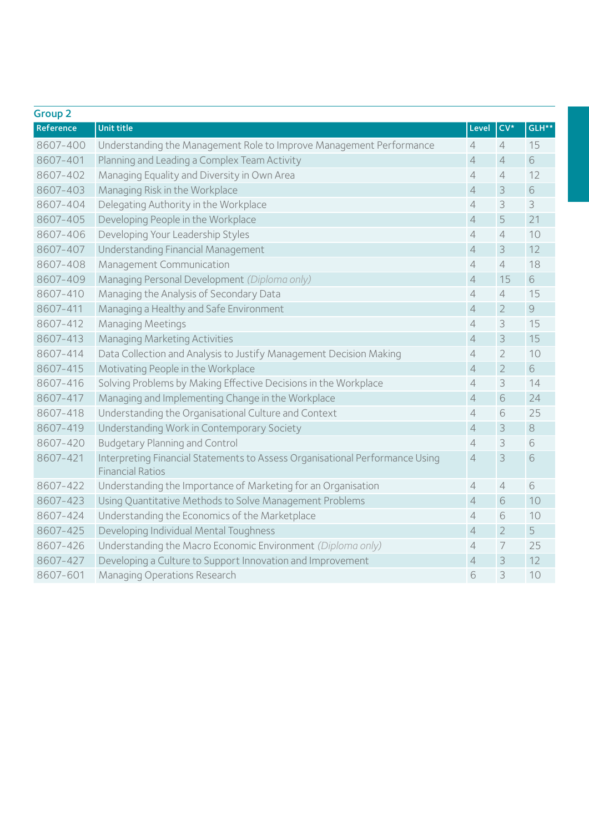| <b>Group 2</b> |                                                                                                         |                |                |                |  |  |
|----------------|---------------------------------------------------------------------------------------------------------|----------------|----------------|----------------|--|--|
| Reference      | <b>Unit title</b>                                                                                       | Level          | $CV*$          | GLH**          |  |  |
| 8607-400       | Understanding the Management Role to Improve Management Performance                                     | $\overline{4}$ | $\overline{4}$ | 15             |  |  |
| 8607-401       | Planning and Leading a Complex Team Activity                                                            | $\sqrt{4}$     | $\overline{4}$ | 6              |  |  |
| 8607-402       | Managing Equality and Diversity in Own Area                                                             | $\overline{4}$ | 4              | 12             |  |  |
| 8607-403       | Managing Risk in the Workplace                                                                          | $\overline{4}$ | 3              | 6              |  |  |
| 8607-404       | Delegating Authority in the Workplace                                                                   | $\overline{4}$ | 3              | 3              |  |  |
| 8607-405       | Developing People in the Workplace                                                                      | $\overline{4}$ | 5              | 21             |  |  |
| 8607-406       | Developing Your Leadership Styles                                                                       | $\overline{4}$ | $\overline{4}$ | 10             |  |  |
| 8607-407       | Understanding Financial Management                                                                      | $\overline{4}$ | 3              | 12             |  |  |
| 8607-408       | Management Communication                                                                                | $\overline{4}$ | $\overline{4}$ | 18             |  |  |
| 8607-409       | Managing Personal Development (Diploma only)                                                            | $\overline{4}$ | 15             | 6              |  |  |
| 8607-410       | Managing the Analysis of Secondary Data                                                                 | $\overline{4}$ | 4              | 15             |  |  |
| 8607-411       | Managing a Healthy and Safe Environment                                                                 | $\overline{4}$ | $\overline{2}$ | $\overline{9}$ |  |  |
| 8607-412       | Managing Meetings                                                                                       | $\overline{4}$ | 3              | 15             |  |  |
| 8607-413       | Managing Marketing Activities                                                                           | $\overline{4}$ | 3              | 15             |  |  |
| 8607-414       | Data Collection and Analysis to Justify Management Decision Making                                      | $\overline{4}$ | $\overline{2}$ | 10             |  |  |
| 8607-415       | Motivating People in the Workplace                                                                      | $\overline{4}$ | $\overline{2}$ | 6              |  |  |
| 8607-416       | Solving Problems by Making Effective Decisions in the Workplace                                         | $\overline{4}$ | 3              | 14             |  |  |
| 8607-417       | Managing and Implementing Change in the Workplace                                                       | $\overline{4}$ | 6              | 24             |  |  |
| 8607-418       | Understanding the Organisational Culture and Context                                                    | $\overline{4}$ | 6              | 25             |  |  |
| 8607-419       | Understanding Work in Contemporary Society                                                              | $\overline{4}$ | 3              | 8              |  |  |
| 8607-420       | <b>Budgetary Planning and Control</b>                                                                   | $\overline{4}$ | 3              | 6              |  |  |
| 8607-421       | Interpreting Financial Statements to Assess Organisational Performance Using<br><b>Financial Ratios</b> | $\overline{4}$ | 3              | 6              |  |  |
| 8607-422       | Understanding the Importance of Marketing for an Organisation                                           | $\overline{4}$ | $\overline{4}$ | 6              |  |  |
| 8607-423       | Using Quantitative Methods to Solve Management Problems                                                 | $\overline{4}$ | 6              | 10             |  |  |
| 8607-424       | Understanding the Economics of the Marketplace                                                          | $\overline{4}$ | 6              | 10             |  |  |
| 8607-425       | Developing Individual Mental Toughness                                                                  | $\overline{4}$ | $\overline{2}$ | 5              |  |  |
| 8607-426       | Understanding the Macro Economic Environment (Diploma only)                                             | $\overline{4}$ | $\overline{7}$ | 25             |  |  |
| 8607-427       | Developing a Culture to Support Innovation and Improvement                                              | $\overline{4}$ | 3              | 12             |  |  |
| 8607-601       | Managing Operations Research                                                                            | 6              | 3              | 10             |  |  |